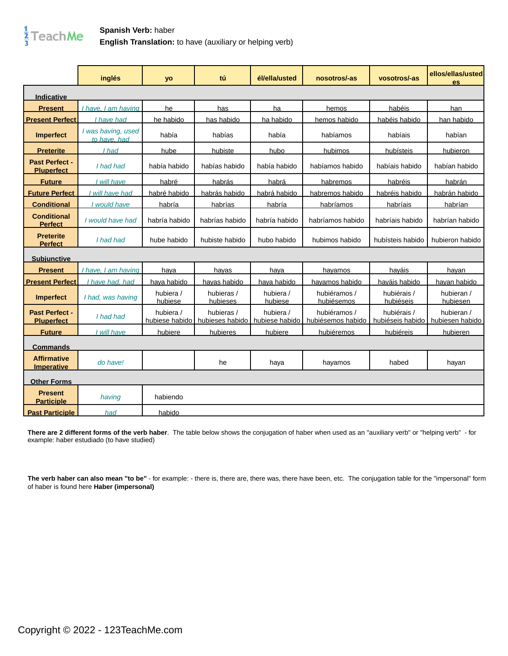

## **Spanish Verb:** haber **English Translation:** to have (auxiliary or helping verb)

|                                         | inglés                             | yo                          | tú                            | él/ella/usted               | nosotros/-as                      | vosotros/-as                    | ellos/ellas/usted<br>es       |
|-----------------------------------------|------------------------------------|-----------------------------|-------------------------------|-----------------------------|-----------------------------------|---------------------------------|-------------------------------|
| <b>Indicative</b>                       |                                    |                             |                               |                             |                                   |                                 |                               |
| <b>Present</b>                          | I have. I am having                | he                          | has                           | ha                          | hemos                             | habéis                          | han                           |
| <b>Present Perfect</b>                  | I have had                         | he habido                   | has habido                    | ha habido                   | hemos habido                      | habéis habido                   | han habido                    |
| <b>Imperfect</b>                        | I was having, used<br>to have, had | había                       | habías                        | había                       | habíamos                          | habíais                         | habían                        |
| <b>Preterite</b>                        | I had                              | hube                        | hubiste                       | hubo                        | hubimos                           | hubísteis                       | hubieron                      |
| Past Perfect -<br><b>Pluperfect</b>     | I had had                          | había habido                | habías habido                 | había habido                | habíamos habido                   | habíais habido                  | habían habido                 |
| <b>Future</b>                           | I will have                        | habré                       | habrás                        | habrá                       | habremos                          | habréis                         | habrán                        |
| <b>Future Perfect</b>                   | I will have had                    | habré habido                | habrás habido                 | habrá habido                | habremos habido                   | habréis habido                  | habrán habido                 |
| <b>Conditional</b>                      | I would have                       | habría                      | habrías                       | habría                      | habríamos                         | habríais                        | habrían                       |
| <b>Conditional</b><br><b>Perfect</b>    | I would have had                   | habría habido               | habrías habido                | habría habido               | habríamos habido                  | habríais habido                 | habrían habido                |
| <b>Preterite</b><br><b>Perfect</b>      | I had had                          | hube habido                 | hubiste habido                | hubo habido                 | hubimos habido                    | hubísteis habido                | hubieron habido               |
| <b>Subjunctive</b>                      |                                    |                             |                               |                             |                                   |                                 |                               |
| <b>Present</b>                          | I have. I am having                | hava                        | havas                         | hava                        | havamos                           | haváis                          | havan                         |
| <b>Present Perfect</b>                  | have had, had                      | hava habido                 | havas habido                  | hava habido                 | havamos habido                    | haváis habido                   | havan habido                  |
| <b>Imperfect</b>                        | I had, was having                  | hubiera /<br>hubiese        | hubieras /<br>hubieses        | hubiera /<br>hubiese        | hubiéramos /<br>hubiésemos        | hubiérais /<br>hubiéseis        | hubieran /<br>hubiesen        |
| Past Perfect -<br><b>Pluperfect</b>     | I had had                          | hubiera /<br>hubiese habido | hubieras /<br>hubieses habido | hubiera /<br>hubiese habido | hubiéramos /<br>hubiésemos habido | hubiérais /<br>hubiéseis habido | hubieran /<br>hubiesen habido |
| <b>Future</b>                           | I will have                        | hubiere                     | hubieres                      | hubiere                     | hubiéremos                        | hubiéreis                       | hubieren                      |
| <b>Commands</b>                         |                                    |                             |                               |                             |                                   |                                 |                               |
| <b>Affirmative</b><br><b>Imperative</b> | do have!                           |                             | he                            | haya                        | hayamos                           | habed                           | hayan                         |
| <b>Other Forms</b>                      |                                    |                             |                               |                             |                                   |                                 |                               |
| <b>Present</b><br><b>Participle</b>     | having                             | habiendo                    |                               |                             |                                   |                                 |                               |
| <b>Past Participle</b>                  | had                                | habido                      |                               |                             |                                   |                                 |                               |

**There are 2 different forms of the verb haber**. The table below shows the conjugation of haber when used as an "auxiliary verb" or "helping verb" - for example: haber estudiado (to have studied)

**The verb haber can also mean "to be"** - for example: - there is, there are, there was, there have been, etc. The conjugation table for the "impersonal" form of haber is found here **[Haber \(impersonal\)](/spanish_verb_conjugation/haber_imp)**